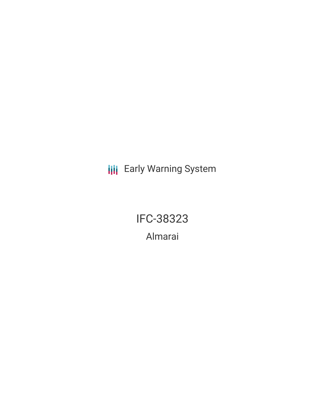**III** Early Warning System

IFC-38323 Almarai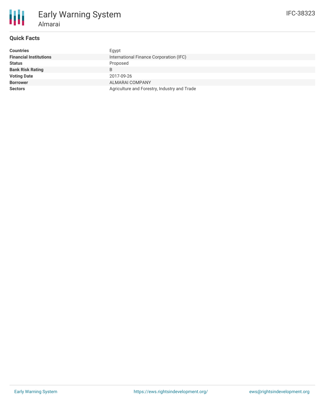# **Quick Facts**

| Countries                     | Egypt                                        |
|-------------------------------|----------------------------------------------|
| <b>Financial Institutions</b> | International Finance Corporation (IFC)      |
| Status                        | Proposed                                     |
| <b>Bank Risk Rating</b>       | B                                            |
| <b>Voting Date</b>            | 2017-09-26                                   |
| <b>Borrower</b>               | <b>ALMARAI COMPANY</b>                       |
| <b>Sectors</b>                | Agriculture and Forestry, Industry and Trade |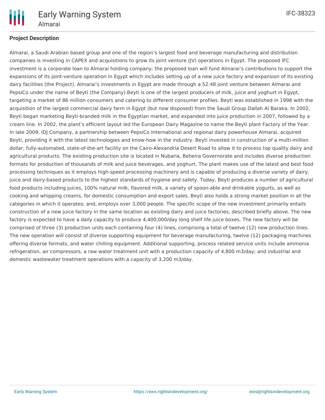

# **Project Description**

Almarai, a Saudi Arabian based group and one of the region's largest food and beverage manufacturing and distribution companies is investing in CAPEX and acquisitions to grow its joint venture (JV) operations in Egypt. The proposed IFC investment is a corporate loan to Almarai holding company; the proposed loan will fund Almarai's contributions to support the expansions of its joint-venture operation in Egypt which includes setting up of a new juice factory and expansion of its existing dairy facilities (the Project). Almarai's investments in Egypt are made through a 52:48 joint venture between Almarai and PepsiCo under the name of Beyti (the Company).Beyti is one of the largest producers of milk, juice and yoghurt in Egypt, targeting a market of 86 million consumers and catering to different consumer profiles. Beyti was established in 1998 with the acquisition of the largest commercial dairy farm in Egypt (but now disposed) from the Saudi Group Dallah Al Baraka. In 2002, Beyti began marketing Beyti-branded milk in the Egyptian market, and expanded into juice production in 2007, followed by a cream line. In 2002, the plant's efficient layout led the European Dairy Magazine to name the Beyti plant Factory of the Year. In late 2009, IDJ Company, a partnership between PepsiCo International and regional dairy powerhouse Almarai, acquired Beyti, providing it with the latest technologies and know-how in the industry. Beyti invested in construction of a multi-million dollar, fully-automated, state-of-the-art facility on the Cairo-Alexandria Desert Road to allow it to process top quality dairy and agricultural products. The existing production site is located in Nubaria, Beheira Governorate and includes diverse production formats for production of thousands of milk and juice beverages, and yoghurt. The plant makes use of the latest and best food processing techniques as it employs high-speed processing machinery and is capable of producing a diverse variety of dairy, juice and dairy-based products to the highest standards of hygiene and safety. Today, Beyti produces a number of agricultural food products including juices, 100% natural milk, flavored milk, a variety of spoon-able and drinkable yogurts, as well as cooking and whipping creams, for domestic consumption and export sales. Beyti also holds a strong market position in all the categories in which it operates; and, employs over 3,000 people. The specific scope of the new investment primarily entails construction of a new juice factory in the same location as existing dairy and juice factories, described briefly above. The new factory is expected to have a daily capacity to produce 4,400,000/day long shelf life juice boxes. The new factory will be comprised of three (3) production units each containing four (4) lines, comprising a total of twelve (12) new production lines. The new operation will consist of diverse supporting equipment for beverage manufacturing, twelve (12) packaging machines offering diverse formats, and water chilling equipment. Additional supporting, process related service units include ammonia refrigeration, air compressors, a raw water treatment unit with a production capacity of 4,800 m3/day; and industrial and domestic wastewater treatment operations with a capacity of 3,200 m3/day.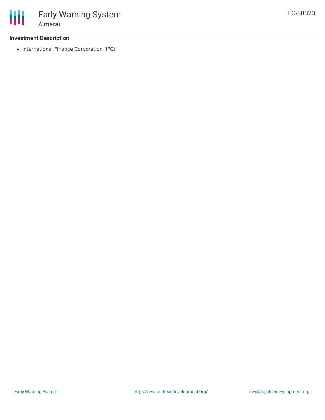### **Investment Description**

• International Finance Corporation (IFC)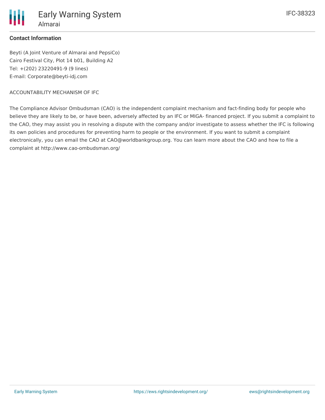

### **Contact Information**

Beyti (A Joint Venture of Almarai and PepsiCo) Cairo Festival City, Plot 14 b01, Building A2 Tel: +(202) 23220491-9 (9 lines) E-mail: Corporate@beyti-idj.com

#### ACCOUNTABILITY MECHANISM OF IFC

The Compliance Advisor Ombudsman (CAO) is the independent complaint mechanism and fact-finding body for people who believe they are likely to be, or have been, adversely affected by an IFC or MIGA- financed project. If you submit a complaint to the CAO, they may assist you in resolving a dispute with the company and/or investigate to assess whether the IFC is following its own policies and procedures for preventing harm to people or the environment. If you want to submit a complaint electronically, you can email the CAO at CAO@worldbankgroup.org. You can learn more about the CAO and how to file a complaint at http://www.cao-ombudsman.org/